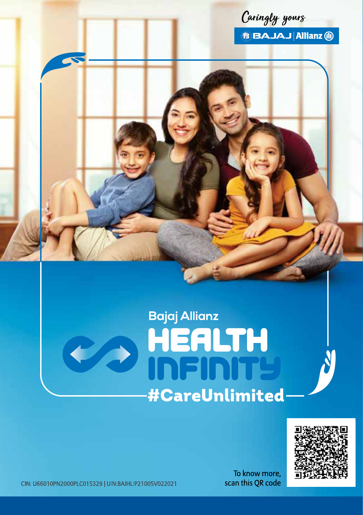

B BAJAJ Allianz (1)

# **Bajaj Allianz HEALTH**<br>INFINITY **#CareUnlimited**



CIN: U66010PN2000PLC015329 | UIN:BAJHLIP21005V022021

To know more, scan this QR code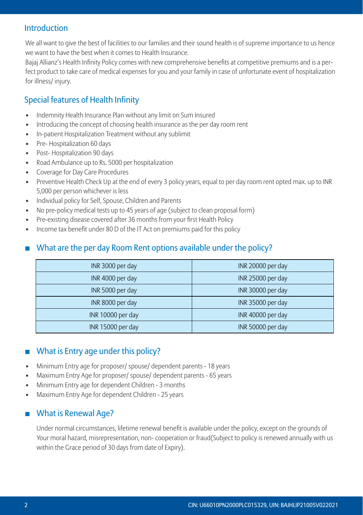# Introduction

We all want to give the best of facilities to our families and their sound health is of supreme importance to us hence we want to have the best when it comes to Health Insurance.

Bajaj Allianz's Health Infinity Policy comes with new comprehensive benefits at competitive premiums and is a perfect product to take care of medical expenses for you and your family in case of unfortunate event of hospitalization for illness/ injury.

# Special features of Health Infinity

- Indemnity Health Insurance Plan without any limit on Sum Insured
- Introducing the concept of choosing health insurance as the per day room rent
- In-patient Hospitalization Treatment without any sublimit
- Pre- Hospitalization 60 days
- Post- Hospitalization 90 days
- Road Ambulance up to Rs. 5000 per hospitalization
- Coverage for Day Care Procedures
- Preventive Health Check Up at the end of every 3 policy years, equal to per day room rent opted max. up to INR 5,000 per person whichever is less
- Individual policy for Self, Spouse, Children and Parents
- No pre-policy medical tests up to 45 years of age (subject to clean proposal form)
- Pre-existing disease covered after 36 months from your first Health Policy
- Income tax benefit under 80 D of the IT Act on premiums paid for this policy

# What are the per day Room Rent options available under the policy?

| INR 3000 per day  | INR 20000 per day |
|-------------------|-------------------|
| INR 4000 per day  | INR 25000 per day |
| INR 5000 per day  | INR 30000 per day |
| INR 8000 per day  | INR 35000 per day |
| INR 10000 per day | INR 40000 per day |
| INR 15000 per day | INR 50000 per day |

# What is Entry age under this policy?

- Minimum Entry age for proposer/ spouse/ dependent parents 18 years
- Maximum Entry Age for proposer/ spouse/ dependent parents 65 years
- Minimum Entry age for dependent Children 3 months
- Maximum Entry Age for dependent Children 25 years

# ■ What is Renewal Age?

 Under normal circumstances, lifetime renewal benefit is available under the policy, except on the grounds of Your moral hazard, misrepresentation, non- cooperation or fraud(Subject to policy is renewed annually with us within the Grace period of 30 days from date of Expiry).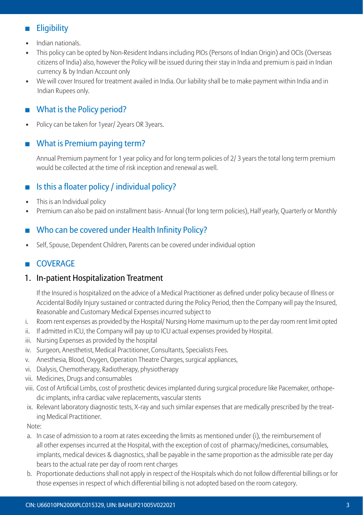# **Eligibility**

- Indian nationals.
- This policy can be opted by Non-Resident Indians including PIOs (Persons of Indian Origin) and OCIs (Overseas citizens of India) also, however the Policy will be issued during their stay in India and premium is paid in Indian currency & by Indian Account only
- We will cover Insured for treatment availed in India. Our liability shall be to make payment within India and in Indian Rupees only.

# ■ What is the Policy period?

Policy can be taken for 1year/ 2years OR 3years.

# What is Premium paying term?

 Annual Premium payment for 1 year policy and for long term policies of 2/ 3 years the total long term premium would be collected at the time of risk inception and renewal as well.

# Is this a floater policy / individual policy?

- This is an Individual policy
- Premium can also be paid on installment basis- Annual (for long term policies), Half yearly, Quarterly or Monthly

# Who can be covered under Health Infinity Policy?

• Self, Spouse, Dependent Children, Parents can be covered under individual option

# COVERAGE

# 1. In-patient Hospitalization Treatment

 If the Insured is hospitalized on the advice of a Medical Practitioner as defined under policy because of Illness or Accidental Bodily Injury sustained or contracted during the Policy Period, then the Company will pay the Insured, Reasonable and Customary Medical Expenses incurred subject to

- i. Room rent expenses as provided by the Hospital/ Nursing Home maximum up to the per day room rent limit opted
- ii. If admitted in ICU, the Company will pay up to ICU actual expenses provided by Hospital.
- iii. Nursing Expenses as provided by the hospital
- iv. Surgeon, Anesthetist, Medical Practitioner, Consultants, Specialists Fees.
- v. Anesthesia, Blood, Oxygen, Operation Theatre Charges, surgical appliances,
- vi. Dialysis, Chemotherapy, Radiotherapy, physiotherapy
- vii. Medicines, Drugs and consumables
- viii. Cost of Artificial Limbs, cost of prosthetic devices implanted during surgical procedure like Pacemaker, orthopedic implants, infra cardiac valve replacements, vascular stents
- ix. Relevant laboratory diagnostic tests, X-ray and such similar expenses that are medically prescribed by the treating Medical Practitioner.

Note:

- a. In case of admission to a room at rates exceeding the limits as mentioned under (i), the reimbursement of all other expenses incurred at the Hospital, with the exception of cost of pharmacy/medicines, consumables, implants, medical devices & diagnostics, shall be payable in the same proportion as the admissible rate per day bears to the actual rate per day of room rent charges
- b. Proportionate deductions shall not apply in respect of the Hospitals which do not follow differential billings or for those expenses in respect of which differential billing is not adopted based on the room category.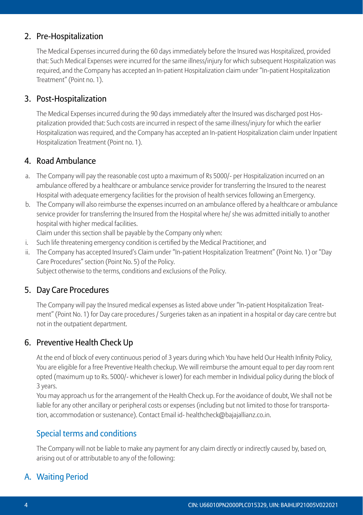# 2. Pre-Hospitalization

 The Medical Expenses incurred during the 60 days immediately before the Insured was Hospitalized, provided that: Such Medical Expenses were incurred for the same illness/injury for which subsequent Hospitalization was required, and the Company has accepted an In-patient Hospitalization claim under "In-patient Hospitalization Treatment" (Point no. 1).

# 3. Post-Hospitalization

 The Medical Expenses incurred during the 90 days immediately after the Insured was discharged post Hospitalization provided that: Such costs are incurred in respect of the same illness/injury for which the earlier Hospitalization was required, and the Company has accepted an In-patient Hospitalization claim under Inpatient Hospitalization Treatment (Point no. 1).

# 4. Road Ambulance

- a. The Company will pay the reasonable cost upto a maximum of Rs 5000/- per Hospitalization incurred on an ambulance offered by a healthcare or ambulance service provider for transferring the Insured to the nearest Hospital with adequate emergency facilities for the provision of health services following an Emergency.
- b. The Company will also reimburse the expenses incurred on an ambulance offered by a healthcare or ambulance service provider for transferring the Insured from the Hospital where he/ she was admitted initially to another hospital with higher medical facilities.

Claim under this section shall be payable by the Company only when:

- i. Such life threatening emergency condition is certified by the Medical Practitioner, and
- ii. The Company has accepted Insured's Claim under "In-patient Hospitalization Treatment" (Point No. 1) or "Day Care Procedures" section (Point No. 5) of the Policy.

Subject otherwise to the terms, conditions and exclusions of the Policy.

# 5. Day Care Procedures

 The Company will pay the Insured medical expenses as listed above under "In-patient Hospitalization Treatment" (Point No. 1) for Day care procedures / Surgeries taken as an inpatient in a hospital or day care centre but not in the outpatient department.

# 6. Preventive Health Check Up

 At the end of block of every continuous period of 3 years during which You have held Our Health Infinity Policy, You are eligible for a free Preventive Health checkup. We will reimburse the amount equal to per day room rent opted (maximum up to Rs. 5000/- whichever is lower) for each member in Individual policy during the block of 3 years.

 You may approach us for the arrangement of the Health Check up. For the avoidance of doubt, We shall not be liable for any other ancillary or peripheral costs or expenses (including but not limited to those for transportation, accommodation or sustenance). Contact Email id- healthcheck@bajajallianz.co.in.

# Special terms and conditions

 The Company will not be liable to make any payment for any claim directly or indirectly caused by, based on, arising out of or attributable to any of the following:

# A. Waiting Period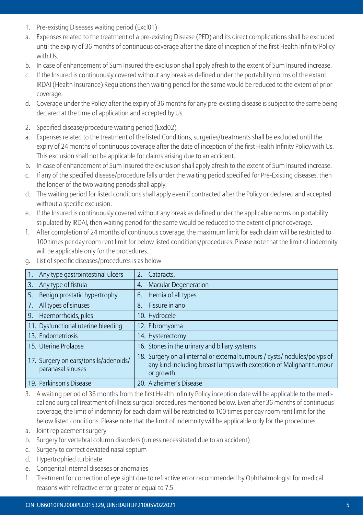- 1. Pre-existing Diseases waiting period (Excl01)
- a. Expenses related to the treatment of a pre-existing Disease (PED) and its direct complications shall be excluded until the expiry of 36 months of continuous coverage after the date of inception of the first Health Infinity Policy with L<sub>IS</sub>
- b. In case of enhancement of Sum Insured the exclusion shall apply afresh to the extent of Sum Insured increase.
- c. If the Insured is continuously covered without any break as defined under the portability norms of the extant IRDAI (Health Insurance) Regulations then waiting period for the same would be reduced to the extent of prior coverage.
- d. Coverage under the Policy after the expiry of 36 months for any pre-existing disease is subject to the same being declared at the time of application and accepted by Us.
- 2. Specified disease/procedure waiting period (Excl02)
- a. Expenses related to the treatment of the listed Conditions, surgeries/treatments shall be excluded until the expiry of 24 months of continuous coverage after the date of inception of the first Health Infinity Policy with Us. This exclusion shall not be applicable for claims arising due to an accident.
- b. In case of enhancement of Sum Insured the exclusion shall apply afresh to the extent of Sum Insured increase.
- c. If any of the specified disease/procedure falls under the waiting period specified for Pre-Existing diseases, then the longer of the two waiting periods shall apply.
- d. The waiting period for listed conditions shall apply even if contracted after the Policy or declared and accepted without a specific exclusion.
- e. If the Insured is continuously covered without any break as defined under the applicable norms on portability stipulated by IRDAI, then waiting period for the same would be reduced to the extent of prior coverage.
- f. After completion of 24 months of continuous coverage, the maximum limit for each claim will be restricted to 100 times per day room rent limit for below listed conditions/procedures. Please note that the limit of indemnity will be applicable only for the procedures.

| Any type gastrointestinal ulcers                           | 2.<br>Cataracts.                                                                                                                                              |
|------------------------------------------------------------|---------------------------------------------------------------------------------------------------------------------------------------------------------------|
| Any type of fistula<br>3.                                  | <b>Macular Degeneration</b><br>4.                                                                                                                             |
| Benign prostatic hypertrophy<br>5.                         | Hernia of all types<br>6.                                                                                                                                     |
| All types of sinuses<br>7.                                 | Fissure in ano<br>8.                                                                                                                                          |
| 9. Haemorrhoids, piles                                     | 10. Hydrocele                                                                                                                                                 |
| 11. Dysfunctional uterine bleeding                         | 12. Fibromyoma                                                                                                                                                |
| 13. Endometriosis                                          | 14. Hysterectomy                                                                                                                                              |
| 15. Uterine Prolapse                                       | 16. Stones in the urinary and biliary systems                                                                                                                 |
| 17. Surgery on ears/tonsils/adenoids/<br>paranasal sinuses | 18. Surgery on all internal or external tumours / cysts/ nodules/polyps of<br>any kind including breast lumps with exception of Malignant tumour<br>or growth |
| 19. Parkinson's Disease                                    | 20. Alzheimer's Disease                                                                                                                                       |

g. List of specific diseases/procedures is as below

- 3. A waiting period of 36 months from the first Health Infinity Policy inception date will be applicable to the medical and surgical treatment of illness surgical procedures mentioned below. Even after 36 months of continuous coverage, the limit of indemnity for each claim will be restricted to 100 times per day room rent limit for the below listed conditions. Please note that the limit of indemnity will be applicable only for the procedures.
- a. Joint replacement surgery
- b. Surgery for vertebral column disorders (unless necessitated due to an accident)
- c. Surgery to correct deviated nasal septum
- d. Hypertrophied turbinate
- e. Congenital internal diseases or anomalies
- f. Treatment for correction of eye sight due to refractive error recommended by Ophthalmologist for medical reasons with refractive error greater or equal to 7.5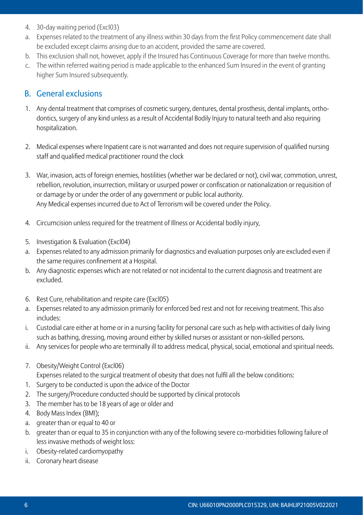- 4. 30-day waiting period (Excl03)
- a. Expenses related to the treatment of any illness within 30 days from the first Policy commencement date shall be excluded except claims arising due to an accident, provided the same are covered.
- b. This exclusion shall not, however, apply if the Insured has Continuous Coverage for more than twelve months.
- c. The within referred waiting period is made applicable to the enhanced Sum Insured in the event of granting higher Sum Insured subsequently.

# B. General exclusions

- 1. Any dental treatment that comprises of cosmetic surgery, dentures, dental prosthesis, dental implants, orthodontics, surgery of any kind unless as a result of Accidental Bodily Injury to natural teeth and also requiring hospitalization.
- 2. Medical expenses where Inpatient care is not warranted and does not require supervision of qualified nursing staff and qualified medical practitioner round the clock
- 3. War, invasion, acts of foreign enemies, hostilities (whether war be declared or not), civil war, commotion, unrest, rebellion, revolution, insurrection, military or usurped power or confiscation or nationalization or requisition of or damage by or under the order of any government or public local authority. Any Medical expenses incurred due to Act of Terrorism will be covered under the Policy.
- 4. Circumcision unless required for the treatment of Illness or Accidental bodily injury,
- 5. Investigation & Evaluation (Excl04)
- a. Expenses related to any admission primarily for diagnostics and evaluation purposes only are excluded even if the same requires confinement at a Hospital.
- b. Any diagnostic expenses which are not related or not incidental to the current diagnosis and treatment are excluded.
- 6. Rest Cure, rehabilitation and respite care (Excl05)
- a. Expenses related to any admission primarily for enforced bed rest and not for receiving treatment. This also includes:
- i. Custodial care either at home or in a nursing facility for personal care such as help with activities of daily living such as bathing, dressing, moving around either by skilled nurses or assistant or non-skilled persons.
- ii. Any services for people who are terminally ill to address medical, physical, social, emotional and spiritual needs.
- 7. Obesity/Weight Control (Excl06)
	- Expenses related to the surgical treatment of obesity that does not fulfil all the below conditions:
- 1. Surgery to be conducted is upon the advice of the Doctor
- 2. The surgery/Procedure conducted should be supported by clinical protocols
- 3. The member has to be 18 years of age or older and
- 4. Body Mass Index (BMI);
- a. greater than or equal to 40 or
- b. greater than or equal to 35 in conjunction with any of the following severe co-morbidities following failure of less invasive methods of weight loss:
- i. Obesity-related cardiomyopathy
- ii. Coronary heart disease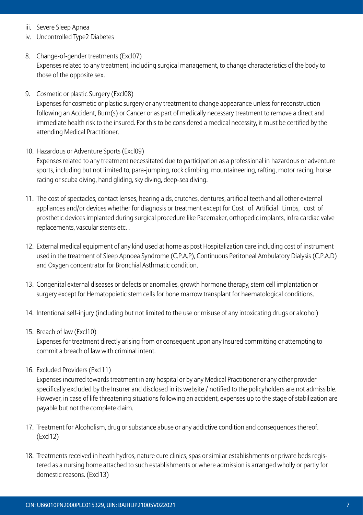- iii. Severe Sleep Apnea
- iv. Uncontrolled Type2 Diabetes
- 8. Change-of-gender treatments (Excl07) Expenses related to any treatment, including surgical management, to change characteristics of the body to those of the opposite sex.
- 9. Cosmetic or plastic Surgery (Excl08) Expenses for cosmetic or plastic surgery or any treatment to change appearance unless for reconstruction following an Accident, Burn(s) or Cancer or as part of medically necessary treatment to remove a direct and immediate health risk to the insured. For this to be considered a medical necessity, it must be certified by the attending Medical Practitioner.
- 10. Hazardous or Adventure Sports (Excl09) Expenses related to any treatment necessitated due to participation as a professional in hazardous or adventure

sports, including but not limited to, para-jumping, rock climbing, mountaineering, rafting, motor racing, horse racing or scuba diving, hand gliding, sky diving, deep-sea diving.

- 11. The cost of spectacles, contact lenses, hearing aids, crutches, dentures, artificial teeth and all other external appliances and/or devices whether for diagnosis or treatment except for Cost of Artificial Limbs, cost of prosthetic devices implanted during surgical procedure like Pacemaker, orthopedic implants, infra cardiac valve replacements, vascular stents etc. .
- 12. External medical equipment of any kind used at home as post Hospitalization care including cost of instrument used in the treatment of Sleep Apnoea Syndrome (C.P.A.P), Continuous Peritoneal Ambulatory Dialysis (C.P.A.D) and Oxygen concentrator for Bronchial Asthmatic condition.
- 13. Congenital external diseases or defects or anomalies, growth hormone therapy, stem cell implantation or surgery except for Hematopoietic stem cells for bone marrow transplant for haematological conditions.
- 14. Intentional self-injury (including but not limited to the use or misuse of any intoxicating drugs or alcohol)
- 15. Breach of law (Excl10)

 Expenses for treatment directly arising from or consequent upon any Insured committing or attempting to commit a breach of law with criminal intent.

16. Excluded Providers (Excl11)

 Expenses incurred towards treatment in any hospital or by any Medical Practitioner or any other provider specifically excluded by the Insurer and disclosed in its website / notified to the policyholders are not admissible. However, in case of life threatening situations following an accident, expenses up to the stage of stabilization are payable but not the complete claim.

- 17. Treatment for Alcoholism, drug or substance abuse or any addictive condition and consequences thereof. (Excl12)
- 18. Treatments received in heath hydros, nature cure clinics, spas or similar establishments or private beds registered as a nursing home attached to such establishments or where admission is arranged wholly or partly for domestic reasons. (Excl13)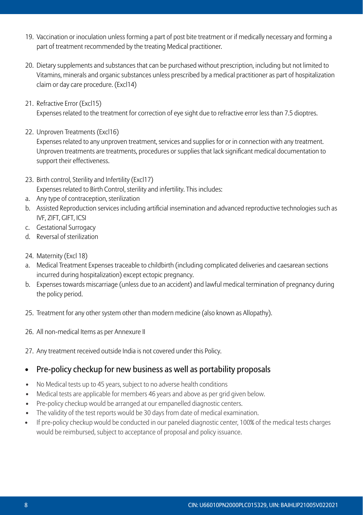- 19. Vaccination or inoculation unless forming a part of post bite treatment or if medically necessary and forming a part of treatment recommended by the treating Medical practitioner.
- 20. Dietary supplements and substances that can be purchased without prescription, including but not limited to Vitamins, minerals and organic substances unless prescribed by a medical practitioner as part of hospitalization claim or day care procedure. (Excl14)
- 21. Refractive Error (Excl15)

Expenses related to the treatment for correction of eye sight due to refractive error less than 7.5 dioptres.

22. Unproven Treatments (Excl16)

 Expenses related to any unproven treatment, services and supplies for or in connection with any treatment. Unproven treatments are treatments, procedures or supplies that lack significant medical documentation to support their effectiveness.

- 23. Birth control, Sterility and Infertility (Excl17) Expenses related to Birth Control, sterility and infertility. This includes:
- a. Any type of contraception, sterilization
- b. Assisted Reproduction services including artificial insemination and advanced reproductive technologies such as IVF, ZIFT, GIFT, ICSI
- c. Gestational Surrogacy
- d. Reversal of sterilization
- 24. Maternity (Excl 18)
- a. Medical Treatment Expenses traceable to childbirth (including complicated deliveries and caesarean sections incurred during hospitalization) except ectopic pregnancy.
- b. Expenses towards miscarriage (unless due to an accident) and lawful medical termination of pregnancy during the policy period.
- 25. Treatment for any other system other than modern medicine (also known as Allopathy).
- 26. All non-medical Items as per Annexure II
- 27. Any treatment received outside India is not covered under this Policy.

#### • Pre-policy checkup for new business as well as portability proposals

- No Medical tests up to 45 years, subject to no adverse health conditions
- Medical tests are applicable for members 46 years and above as per grid given below.
- Pre-policy checkup would be arranged at our empanelled diagnostic centers.
- The validity of the test reports would be 30 days from date of medical examination.
- If pre-policy checkup would be conducted in our paneled diagnostic center, 100% of the medical tests charges would be reimbursed, subject to acceptance of proposal and policy issuance.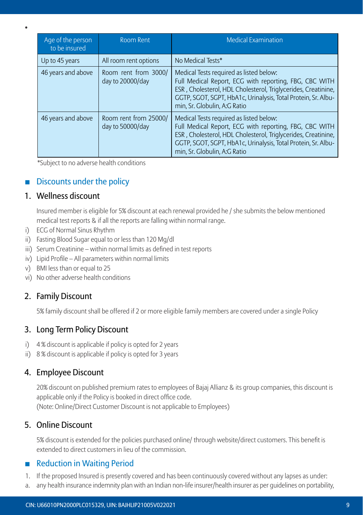| Age of the person<br>to be insured | <b>Room Rent</b>                          | <b>Medical Examination</b>                                                                                                                                                                                                                                          |
|------------------------------------|-------------------------------------------|---------------------------------------------------------------------------------------------------------------------------------------------------------------------------------------------------------------------------------------------------------------------|
| Up to 45 years                     | All room rent options                     | No Medical Tests*                                                                                                                                                                                                                                                   |
| 46 years and above                 | Room rent from 3000/<br>day to 20000/day  | Medical Tests required as listed below:<br>Full Medical Report, ECG with reporting, FBG, CBC WITH<br>ESR, Cholesterol, HDL Cholesterol, Triglycerides, Creatinine,<br>GGTP, SGOT, SGPT, HbA1c, Urinalysis, Total Protein, Sr. Albu-<br>min, Sr. Globulin, A:G Ratio |
| 46 years and above                 | Room rent from 25000/<br>day to 50000/day | Medical Tests required as listed below:<br>Full Medical Report, ECG with reporting, FBG, CBC WITH<br>ESR, Cholesterol, HDL Cholesterol, Triglycerides, Creatinine,<br>GGTP, SGOT, SGPT, HbA1c, Urinalysis, Total Protein, Sr. Albu-<br>min, Sr. Globulin, A:G Ratio |

\*Subject to no adverse health conditions

# Discounts under the policy

# 1. Wellness discount

•

 Insured member is eligible for 5% discount at each renewal provided he / she submits the below mentioned medical test reports & if all the reports are falling within normal range.

- i) ECG of Normal Sinus Rhythm
- ii) Fasting Blood Sugar equal to or less than 120 Mg/dl
- iii) Serum Creatinine within normal limits as defined in test reports
- iv) Lipid Profile All parameters within normal limits
- v) BMI less than or equal to 25
- vi) No other adverse health conditions

# 2. Family Discount

5% family discount shall be offered if 2 or more eligible family members are covered under a single Policy

# 3. Long Term Policy Discount

- i) 4 % discount is applicable if policy is opted for 2 years
- ii) 8 % discount is applicable if policy is opted for 3 years

#### 4. Employee Discount

 20% discount on published premium rates to employees of Bajaj Allianz & its group companies, this discount is applicable only if the Policy is booked in direct office code. (Note: Online/Direct Customer Discount is not applicable to Employees)

#### 5. Online Discount

 5% discount is extended for the policies purchased online/ through website/direct customers. This benefit is extended to direct customers in lieu of the commission.

# **Reduction in Waiting Period**

- 1. If the proposed Insured is presently covered and has been continuously covered without any lapses as under:
- a. any health insurance indemnity plan with an Indian non-life insurer/health insurer as per guidelines on portability,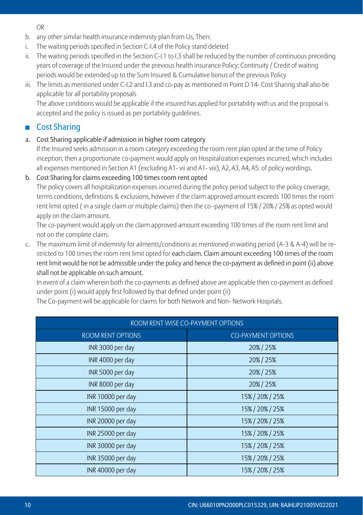OR

- b. any other similar health insurance indemnity plan from Us, Then:
- i. The waiting periods specified in Section C-I.4 of the Policy stand deleted
- ii. The waiting periods specified in the Section C-I.1 to I.3 shall be reduced by the number of continuous preceding years of coverage of the Insured under the previous health insurance Policy; Continuity / Credit of waiting periods would be extended up to the Sum Insured & Cumulative bonus of the previous Policy
- iii. The limits as mentioned under C-I.2 and I.3 and co-pay as mentioned in Point D 14- Cost Sharing shall also be applicable for all portability proposals

 The above conditions would be applicable if the insured has applied for portability with us and the proposal is accepted and the policy is issued as per portability guidelines.

# ■ Cost Sharing

a. Cost Sharing applicable if admission in higher room category

 If the Insured seeks admission in a room category exceeding the room rent plan opted at the time of Policy inception, then a proportionate co-payment would apply on Hospitalization expenses incurred, which includes all expenses mentioned in Section A1 (excluding A1- vii and A1- viii), A2, A3, A4, A5. of policy wordings.

#### b. Cost Sharing for claims exceeding 100 times room rent opted

 The policy covers all hospitalization expenses incurred during the policy period subject to the policy coverage, terms conditions, definitions & exclusions, however if the claim approved amount exceeds 100 times the room rent limit opted ( in a single claim or multiple claims) then the co -payment of 15% / 20% / 25% as opted would apply on the claim amount.

 The co-payment would apply on the claim approved amount exceeding 100 times of the room rent limit and not on the complete claim.

c. The maximum limit of indemnity for ailments/conditions as mentioned in waiting period (A-3 & A-4) will be restricted to 100 times the room rent limit opted for each claim. Claim amount exceeding 100 times of the room rent limit would be not be admissible under the policy and hence the co-payment as defined in point (ii) above shall not be applicable on such amount.

 In event of a claim wherein both the co-payments as defined above are applicable then co-payment as defined under point (i) would apply first followed by that defined under point (ii)

The Co-payment will be applicable for claims for both Network and Non- Network Hospitals.

| ROOM RENT WISE CO-PAYMENT OPTIONS    |                           |  |
|--------------------------------------|---------------------------|--|
| <b>ROOM RENT OPTIONS</b>             | <b>CO-PAYMENT OPTIONS</b> |  |
| INR 3000 per day                     | 20% / 25%                 |  |
| INR 4000 per day                     | 20% / 25%                 |  |
| INR 5000 per day                     | 20% / 25%                 |  |
| INR 8000 per day<br>20% / 25%        |                           |  |
| 15% / 20% / 25%<br>INR 10000 per day |                           |  |
| INR 15000 per day                    | 15% / 20% / 25%           |  |
| 15% / 20% / 25%<br>INR 20000 per day |                           |  |
| INR 25000 per day<br>15% / 20% / 25% |                           |  |
| INR 30000 per day<br>15% / 20% / 25% |                           |  |
| INR 35000 per day<br>15% / 20% / 25% |                           |  |
| 15% / 20% / 25%<br>INR 40000 per day |                           |  |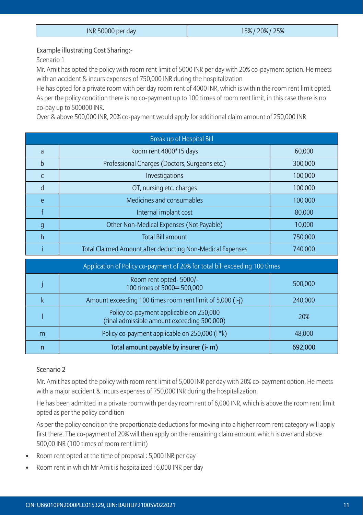| INR 50000 per day | 25%<br>20%<br>15%/ |
|-------------------|--------------------|

#### Example illustrating Cost Sharing:-

Scenario 1

 Mr. Amit has opted the policy with room rent limit of 5000 INR per day with 20% co-payment option. He meets with an accident & incurs expenses of 750,000 INR during the hospitalization

He has opted for a private room with per day room rent of 4000 INR, which is within the room rent limit opted. As per the policy condition there is no co-payment up to 100 times of room rent limit, in this case there is no co-pay up to 500000 INR.

Over & above 500,000 INR, 20% co-payment would apply for additional claim amount of 250,000 INR

| Break up of Hospital Bill                                                  |                                                    |         |
|----------------------------------------------------------------------------|----------------------------------------------------|---------|
| a                                                                          | Room rent 4000*15 days                             | 60,000  |
| b                                                                          | Professional Charges (Doctors, Surgeons etc.)      | 300,000 |
| C                                                                          | Investigations                                     | 100,000 |
| d                                                                          | OT, nursing etc. charges                           | 100,000 |
| e                                                                          | Medicines and consumables<br>100,000               |         |
|                                                                            | Internal implant cost<br>80,000                    |         |
| g                                                                          | Other Non-Medical Expenses (Not Payable)<br>10,000 |         |
| h                                                                          | <b>Total Bill amount</b>                           | 750,000 |
| Total Claimed Amount after deducting Non-Medical Expenses<br>740,000       |                                                    |         |
| Application of Policy co-payment of 20% for total bill exceeding 100 times |                                                    |         |
|                                                                            | Room ront optod 5000/                              |         |

|   | Room rent opted-5000/-<br>100 times of 5000= 500,000                                   | 500,000 |
|---|----------------------------------------------------------------------------------------|---------|
|   | Amount exceeding 100 times room rent limit of 5,000 (i-j)                              | 240,000 |
|   | Policy co-payment applicable on 250,000<br>(final admissible amount exceeding 500,000) | 20%     |
| m | Policy co-payment applicable on 250,000 (I *k)                                         | 48.000  |
|   | Total amount payable by insurer (i- m)                                                 | 692,000 |

#### Scenario 2

 Mr. Amit has opted the policy with room rent limit of 5,000 INR per day with 20% co-payment option. He meets with a major accident & incurs expenses of 750,000 INR during the hospitalization.

 He has been admitted in a private room with per day room rent of 6,000 INR, which is above the room rent limit opted as per the policy condition

 As per the policy condition the proportionate deductions for moving into a higher room rent category will apply first there. The co-payment of 20% will then apply on the remaining claim amount which is over and above 500,00 INR (100 times of room rent limit)

- Room rent opted at the time of proposal : 5,000 INR per day
- Room rent in which Mr Amit is hospitalized : 6,000 INR per day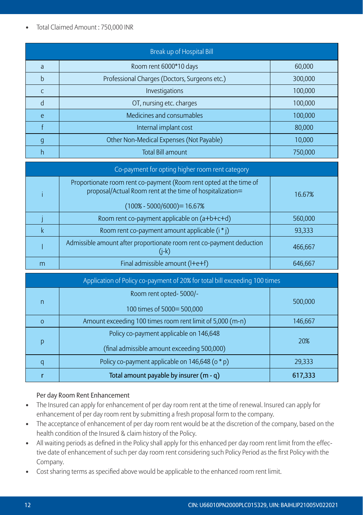#### • Total Claimed Amount : 750,000 INR

| Break up of Hospital Bill |                                                          |         |
|---------------------------|----------------------------------------------------------|---------|
| a                         | Room rent 6000*10 days                                   | 60,000  |
| h                         | Professional Charges (Doctors, Surgeons etc.)<br>300,000 |         |
|                           | Investigations                                           | 100,000 |
|                           | OT, nursing etc. charges                                 | 100,000 |
| e                         | Medicines and consumables                                | 100,000 |
|                           | Internal implant cost                                    | 80,000  |
| q                         | Other Non-Medical Expenses (Not Payable)                 | 10,000  |
|                           | <b>Total Bill amount</b>                                 | 750.000 |

| Co-payment for opting higher room rent category |                                                                                                                                 |         |
|-------------------------------------------------|---------------------------------------------------------------------------------------------------------------------------------|---------|
|                                                 | Proportionate room rent co-payment (Room rent opted at the time of<br>proposal/Actual Room rent at the time of hospitalization= | 16.67%  |
|                                                 | $(100\% - 5000/6000) = 16.67\%$                                                                                                 |         |
|                                                 | Room rent co-payment applicable on (a+b+c+d)                                                                                    | 560,000 |
|                                                 | Room rent co-payment amount applicable (i * j)                                                                                  | 93,333  |
|                                                 | Admissible amount after proportionate room rent co-payment deduction<br>$(i-k)$                                                 | 466.667 |
|                                                 | Final admissible amount (I+e+f)                                                                                                 | 646.667 |

| Application of Policy co-payment of 20% for total bill exceeding 100 times |                                                                      |         |
|----------------------------------------------------------------------------|----------------------------------------------------------------------|---------|
|                                                                            | Room rent opted-5000/-                                               |         |
| n                                                                          | 100 times of 5000= 500,000                                           | 500,000 |
| $\Omega$                                                                   | Amount exceeding 100 times room rent limit of 5,000 (m-n)<br>146,667 |         |
|                                                                            | Policy co-payment applicable on 146,648                              |         |
| p                                                                          | (final admissible amount exceeding 500,000)                          | 20%     |
|                                                                            | Policy co-payment applicable on 146,648 (o * p)                      | 29,333  |
|                                                                            | Total amount payable by insurer (m - q)                              | 617,333 |

#### Per day Room Rent Enhancement

- The Insured can apply for enhancement of per day room rent at the time of renewal. Insured can apply for enhancement of per day room rent by submitting a fresh proposal form to the company.
- The acceptance of enhancement of per day room rent would be at the discretion of the company, based on the health condition of the Insured & claim history of the Policy.
- All waiting periods as defined in the Policy shall apply for this enhanced per day room rent limit from the effective date of enhancement of such per day room rent considering such Policy Period as the first Policy with the Company.
- Cost sharing terms as specified above would be applicable to the enhanced room rent limit.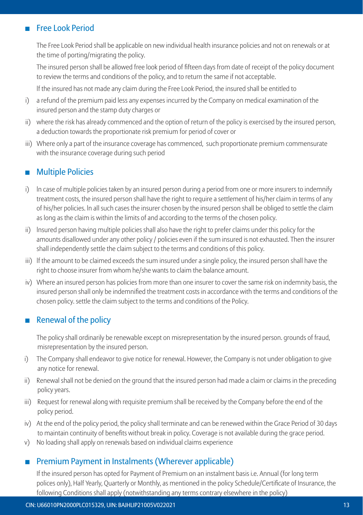# Free Look Period

The Free Look Period shall be applicable on new individual health insurance policies and not on renewals or at the time of porting/migrating the policy.

The insured person shall be allowed free look period of fifteen days from date of receipt of the policy document to review the terms and conditions of the policy, and to return the same if not acceptable.

lf the insured has not made any claim during the Free Look Period, the insured shall be entitled to

- i) a refund of the premium paid less any expenses incurred by the Company on medical examination of the insured person and the stamp duty charges or
- ii) where the risk has already commenced and the option of return of the policy is exercised by the insured person, a deduction towards the proportionate risk premium for period of cover or
- iii) Where only a part of the insurance coverage has commenced, such proportionate premium commensurate with the insurance coverage during such period

# **Multiple Policies**

- i) ln case of multiple policies taken by an insured person during a period from one or more insurers to indemnify treatment costs, the insured person shall have the right to require a settlement of his/her claim in terms of any of his/her policies. ln all such cases the insurer chosen by the insured person shall be obliged to settle the claim as long as the claim is within the limits of and according to the terms of the chosen policy.
- ii) lnsured person having multiple policies shall also have the right to prefer claims under this policy for the amounts disallowed under any other policy / policies even if the sum insured is not exhausted. Then the insurer shall independently settle the claim subject to the terms and conditions of this policy.
- iii) lf the amount to be claimed exceeds the sum insured under a single policy, the insured person shall have the right to choose insurer from whom he/she wants to claim the balance amount.
- iv) Where an insured person has policies from more than one insurer to cover the same risk on indemnity basis, the insured person shall only be indemnified the treatment costs in accordance with the terms and conditions of the chosen policy. settle the claim subject to the terms and conditions of the Policy.

# Renewal of the policy

The policy shall ordinarily be renewable except on misrepresentation by the insured person. grounds of fraud, misrepresentation by the insured person.

- i) The Company shall endeavor to give notice for renewal. However, the Company is not under obligation to give any notice for renewal.
- ii) Renewal shall not be denied on the ground that the insured person had made a claim or claims in the preceding policy years.
- iii) Request for renewal along with requisite premium shall be received by the Company before the end of the policy period.
- iv) At the end of the policy period, the policy shall terminate and can be renewed within the Grace Period of 30 days to maintain continuity of benefits without break in policy. Coverage is not available during the grace period.
- v) No loading shall apply on renewals based on individual claims experience

# ■ Premium Payment in Instalments (Wherever applicable)

If the insured person has opted for Payment of Premium on an instalment basis i.e. Annual (for long term polices only), Half Yearly, Quarterly or Monthly, as mentioned in the policy Schedule/Certificate of Insurance, the following Conditions shall apply (notwithstanding any terms contrary elsewhere in the policy)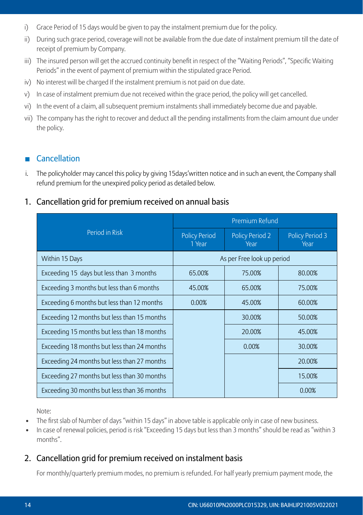- i) Grace Period of 15 days would be given to pay the instalment premium due for the policy.
- ii) During such grace period, coverage will not be available from the due date of instalment premium till the date of receipt of premium by Company.
- iii) The insured person will get the accrued continuity benefit in respect of the "Waiting Periods", "Specific Waiting Periods" in the event of payment of premium within the stipulated grace Period.
- iv) No interest will be charged If the instalment premium is not paid on due date.
- v) In case of instalment premium due not received within the grace period, the policy will get cancelled.
- vi) In the event of a claim, all subsequent premium instalments shall immediately become due and payable.
- vii) The company has the right to recover and deduct all the pending installments from the claim amount due under the policy.

# Cancellation

i. The policyholder may cancel this policy by giving 15days'written notice and in such an event, the Company shall refund premium for the unexpired policy period as detailed below.

# 1. Cancellation grid for premium received on annual basis

|                                             | Premium Refund                 |                                |                                |
|---------------------------------------------|--------------------------------|--------------------------------|--------------------------------|
| Period in Risk                              | <b>Policy Period</b><br>1 Year | <b>Policy Period 2</b><br>Year | <b>Policy Period 3</b><br>Year |
| Within 15 Days                              |                                | As per Free look up period     |                                |
| Exceeding 15 days but less than 3 months    | 65.00%                         | 75.00%                         | 80.00%                         |
| Exceeding 3 months but less than 6 months   | 45.00%                         | 65.00%                         | 75.00%                         |
| Exceeding 6 months but less than 12 months  | 0.00%                          | 45.00%                         | 60.00%                         |
| Exceeding 12 months but less than 15 months |                                | 30.00%                         | 50.00%                         |
| Exceeding 15 months but less than 18 months |                                | 20.00%                         | 45.00%                         |
| Exceeding 18 months but less than 24 months |                                | 0.00%                          | 30.00%                         |
| Exceeding 24 months but less than 27 months |                                |                                | 20.00%                         |
| Exceeding 27 months but less than 30 months |                                |                                | 15.00%                         |
| Exceeding 30 months but less than 36 months |                                |                                | 0.00%                          |

Note:

- The first slab of Number of days "within 15 days" in above table is applicable only in case of new business.
- In case of renewal policies, period is risk "Exceeding 15 days but less than 3 months" should be read as "within 3 months".

# 2. Cancellation grid for premium received on instalment basis

For monthly/quarterly premium modes, no premium is refunded. For half yearly premium payment mode, the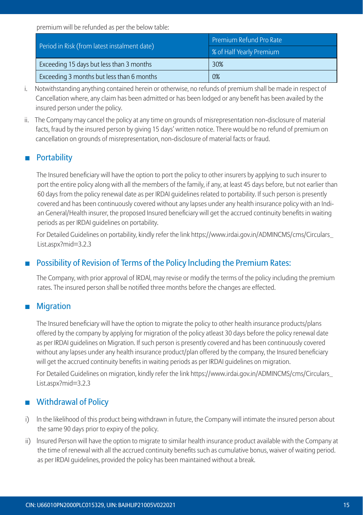premium will be refunded as per the below table:

|                                              | <b>Premium Refund Pro Rate</b> |  |
|----------------------------------------------|--------------------------------|--|
| Period in Risk (from latest instalment date) | 8 of Half Yearly Premium       |  |
| Exceeding 15 days but less than 3 months     | 30%                            |  |
| Exceeding 3 months but less than 6 months    | 0%                             |  |

- i. Notwithstanding anything contained herein or otherwise, no refunds of premium shall be made in respect of Cancellation where, any claim has been admitted or has been lodged or any benefit has been availed by the insured person under the policy.
- ii. The Company may cancel the policy at any time on grounds of misrepresentation non-disclosure of material facts, fraud by the insured person by giving 15 days' written notice. There would be no refund of premium on cancellation on grounds of misrepresentation, non-disclosure of material facts or fraud.

# **Portability**

The Insured beneficiary will have the option to port the policy to other insurers by applying to such insurer to port the entire policy along with all the members of the family, if any, at least 45 days before, but not earlier than 60 days from the policy renewal date as per IRDAI guidelines related to portability. If such person is presently covered and has been continuously covered without any lapses under any health insurance policy with an Indian General/Health insurer, the proposed Insured beneficiary will get the accrued continuity benefits in waiting periods as per IRDAI guidelines on portability.

For Detailed Guidelines on portability, kindly refer the link https://www.irdai.gov.in/ADMINCMS/cms/Circulars\_ List.aspx?mid=3.2.3

# Possibility of Revision of Terms of the Policy lncluding the Premium Rates:

The Company, with prior approval of lRDAl, may revise or modify the terms of the policy including the premium rates. The insured person shall be notified three months before the changes are effected.

# **Migration**

The Insured beneficiary will have the option to migrate the policy to other health insurance products/plans offered by the company by applying for migration of the policy atleast 30 days before the policy renewal date as per IRDAI guidelines on Migration. If such person is presently covered and has been continuously covered without any lapses under any health insurance product/plan offered by the company, the Insured beneficiary will get the accrued continuity benefits in waiting periods as per IRDAI guidelines on migration.

For Detailed Guidelines on migration, kindly refer the link https://www.irdai.gov.in/ADMINCMS/cms/Circulars\_ List.aspx?mid=3.2.3

# **Withdrawal of Policy**

- i) ln the likelihood of this product being withdrawn in future, the Company will intimate the insured person about the same 90 days prior to expiry of the policy.
- ii) lnsured Person will have the option to migrate to similar health insurance product available with the Company at the time of renewal with all the accrued continuity benefits such as cumulative bonus, waiver of waiting period. as per IRDAI guidelines, provided the policy has been maintained without a break.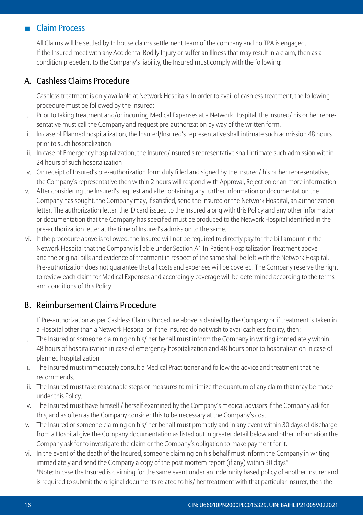# **Claim Process**

All Claims will be settled by In house claims settlement team of the company and no TPA is engaged. If the Insured meet with any Accidental Bodily Injury or suffer an Illness that may result in a claim, then as a condition precedent to the Company's liability, the Insured must comply with the following:

# A. Cashless Claims Procedure

 Cashless treatment is only available at Network Hospitals. In order to avail of cashless treatment, the following procedure must be followed by the Insured:

- i. Prior to taking treatment and/or incurring Medical Expenses at a Network Hospital, the Insured/ his or her representative must call the Company and request pre-authorization by way of the written form.
- ii. In case of Planned hospitalization, the Insured/Insured's representative shall intimate such admission 48 hours prior to such hospitalization
- iii. In case of Emergency hospitalization, the Insured/Insured's representative shall intimate such admission within 24 hours of such hospitalization
- iv. On receipt of Insured's pre-authorization form duly filled and signed by the Insured/ his or her representative, the Company's representative then within 2 hours will respond with Approval, Rejection or an more information
- v. After considering the Insured's request and after obtaining any further information or documentation the Company has sought, the Company may, if satisfied, send the Insured or the Network Hospital, an authorization letter. The authorization letter, the ID card issued to the Insured along with this Policy and any other information or documentation that the Company has specified must be produced to the Network Hospital identified in the pre-authorization letter at the time of Insured's admission to the same.
- vi. If the procedure above is followed, the Insured will not be required to directly pay for the bill amount in the Network Hospital that the Company is liable under Section A1 In-Patient Hospitalization Treatment above and the original bills and evidence of treatment in respect of the same shall be left with the Network Hospital. Pre-authorization does not guarantee that all costs and expenses will be covered. The Company reserve the right to review each claim for Medical Expenses and accordingly coverage will be determined according to the terms and conditions of this Policy.

# B. Reimbursement Claims Procedure

 If Pre-authorization as per Cashless Claims Procedure above is denied by the Company or if treatment is taken in a Hospital other than a Network Hospital or if the Insured do not wish to avail cashless facility, then:

- i. The Insured or someone claiming on his/ her behalf must inform the Company in writing immediately within 48 hours of hospitalization in case of emergency hospitalization and 48 hours prior to hospitalization in case of planned hospitalization
- ii. The Insured must immediately consult a Medical Practitioner and follow the advice and treatment that he recommends.
- iii. The Insured must take reasonable steps or measures to minimize the quantum of any claim that may be made under this Policy.
- iv. The Insured must have himself / herself examined by the Company's medical advisors if the Company ask for this, and as often as the Company consider this to be necessary at the Company's cost.
- v. The Insured or someone claiming on his/ her behalf must promptly and in any event within 30 days of discharge from a Hospital give the Company documentation as listed out in greater detail below and other information the Company ask for to investigate the claim or the Company's obligation to make payment for it.
- vi. In the event of the death of the Insured, someone claiming on his behalf must inform the Company in writing immediately and send the Company a copy of the post mortem report (if any) within 30 days\* \*Note: In case the Insured is claiming for the same event under an indemnity based policy of another insurer and is required to submit the original documents related to his/ her treatment with that particular insurer, then the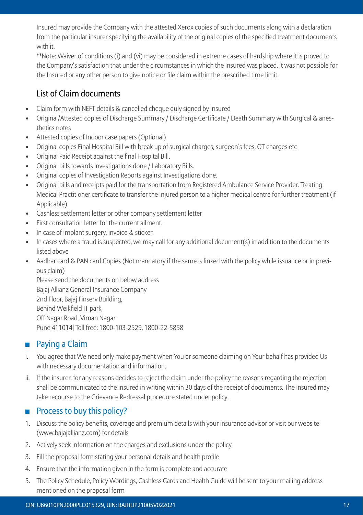Insured may provide the Company with the attested Xerox copies of such documents along with a declaration from the particular insurer specifying the availability of the original copies of the specified treatment documents with it.

 \*\*Note: Waiver of conditions (i) and (vi) may be considered in extreme cases of hardship where it is proved to the Company's satisfaction that under the circumstances in which the Insured was placed, it was not possible for the Insured or any other person to give notice or file claim within the prescribed time limit.

# List of Claim documents

- Claim form with NEFT details & cancelled cheque duly signed by Insured
- Original/Attested copies of Discharge Summary / Discharge Certificate / Death Summary with Surgical & anesthetics notes
- Attested copies of Indoor case papers (Optional)
- Original copies Final Hospital Bill with break up of surgical charges, surgeon's fees, OT charges etc
- Original Paid Receipt against the final Hospital Bill.
- Original bills towards Investigations done / Laboratory Bills.
- Original copies of Investigation Reports against Investigations done.
- Original bills and receipts paid for the transportation from Registered Ambulance Service Provider. Treating Medical Practitioner certificate to transfer the Injured person to a higher medical centre for further treatment (if Applicable).
- Cashless settlement letter or other company settlement letter
- First consultation letter for the current ailment.
- In case of implant surgery, invoice & sticker.
- In cases where a fraud is suspected, we may call for any additional document(s) in addition to the documents listed above
- Aadhar card & PAN card Copies (Not mandatory if the same is linked with the policy while issuance or in previous claim)

Please send the documents on below address Bajaj Allianz General Insurance Company 2nd Floor, Bajaj Finserv Building, Behind Weikfield IT park, Off Nagar Road, Viman Nagar Pune 411014| Toll free: 1800-103-2529, 1800-22-5858

# **Paying a Claim**

- i. You agree that We need only make payment when You or someone claiming on Your behalf has provided Us with necessary documentation and information.
- ii. If the insurer, for any reasons decides to reject the claim under the policy the reasons regarding the rejection shall be communicated to the insured in writing within 30 days of the receipt of documents. The insured may take recourse to the Grievance Redressal procedure stated under policy.

# $\blacksquare$  Process to buy this policy?

- 1. Discuss the policy benefits, coverage and premium details with your insurance advisor or visit our website (www.bajajallianz.com) for details
- 2. Actively seek information on the charges and exclusions under the policy
- 3. Fill the proposal form stating your personal details and health profile
- 4. Ensure that the information given in the form is complete and accurate
- 5. The Policy Schedule, Policy Wordings, Cashless Cards and Health Guide will be sent to your mailing address mentioned on the proposal form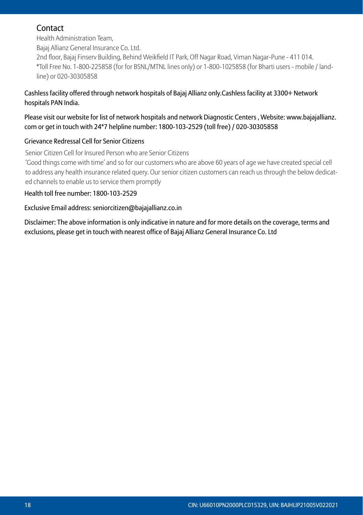# **Contact**

Health Administration Team,

Bajaj Allianz General Insurance Co. Ltd.

2nd floor, Bajaj Finserv Building, Behind Weikfield IT Park, Off Nagar Road, Viman Nagar-Pune - 411 014. \*Toll Free No. 1-800-225858 (for for BSNL/MTNL lines only) or 1-800-1025858 (for Bharti users - mobile / landline) or 020-30305858

#### Cashless facility offered through network hospitals of Bajaj Allianz only.Cashless facility at 3300+ Network hospitals PAN India.

#### Please visit our website for list of network hospitals and network Diagnostic Centers , Website: www.bajajallianz. com or get in touch with 24\*7 helpline number: 1800-103-2529 (toll free) / 020-30305858

# Grievance Redressal Cell for Senior Citizens

Senior Citizen Cell for Insured Person who are Senior Citizens

'Good things come with time' and so for our customers who are above 60 years of age we have created special cell to address any health insurance related query. Our senior citizen customers can reach us through the below dedicated channels to enable us to service them promptly

#### Health toll free number: 1800-103-2529

#### Exclusive Email address: seniorcitizen@bajajallianz.co.in

Disclaimer: The above information is only indicative in nature and for more details on the coverage, terms and exclusions, please get in touch with nearest office of Bajaj Allianz General Insurance Co. Ltd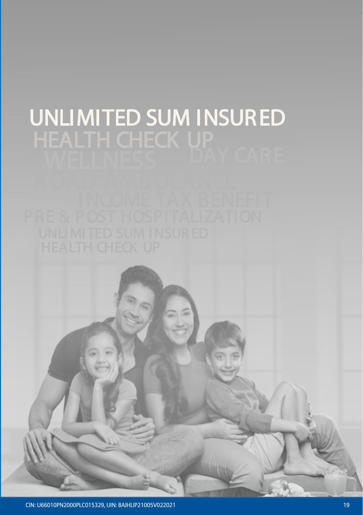# UNLIMITED SUM INSURED